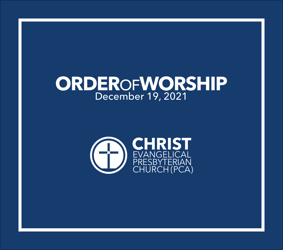# **ORDER**OF**WORSHIP** December 19, 2021

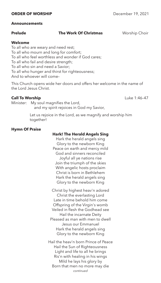# **ORDER OF WORSHIP** December 19, 2021

# **Announcements**

# Prelude The Work Of Christmas Worship Choir

# **Welcome**

To all who are weary and need rest; To all who mourn and long for comfort; To all who feel worthless and wonder if God cares; To all who fail and desire strength; To all who sin and need a Savior; To all who hunger and thirst for righteousness; And to whoever will come–

This Church opens wide her doors and offers her welcome in the name of the Lord Jesus Christ.

# **Call To Worship** Luke 1:46-47

Minister: My soul magnifies the Lord, and my spirit rejoices in God my Savior,

> Let us rejoice in the Lord, as we magnify and worship him together!

# **Hymn Of Praise**

# **Hark! The Herald Angels Sing**

Hark the herald angels sing Glory to the newborn King Peace on earth and mercy mild God and sinners reconciled Joyful all ye nations rise Join the triumph of the skies With angelic hosts proclaim Christ is born in Bethlehem Hark the herald angels sing Glory to the newborn King

Christ by highest heav'n adored Christ the everlasting Lord Late in time behold him come Offspring of the Virgin's womb Veiled in flesh the Godhead see Hail the incarnate Deity Pleased as man with men to dwell Jesus our Emmanuel Hark the herald angels sing Glory to the newborn King

Hail the heav'n born Prince of Peace Hail the Sun of Righteousness Light and life to all he brings Ris'n with healing in his wings Mild he lays his glory by Born that men no more may die *continued*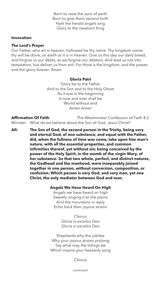Born to raise the sons of earth Born to give them second birth Hark the herald angels sing Glory to the newborn King

# **Invocation**

# **The Lord's Prayer**

Our Father, who art in heaven, hallowed be thy name. Thy kingdom come, thy will be done, on earth as it is in heaven. Give us this day our daily bread, and forgive us our debts, as we forgive our debtors. And lead us not into temptation, but deliver us from evil. For thine is the kingdom, and the power, and the glory forever. Amen.

### **Gloria Patri**

Glory be to the Father And to the Son and to the Holy Ghost As it was in the beginning Is now and ever shall be World without end Amen Amen

**Affirmation Of Faith** The Westminster Confession of Faith 8.2 Minister: What do we believe about the Son of God, Jesus Christ?

**All: The Son of God, the second person in the Trinity, being very and eternal God, of one substance, and equal with the Father, did, when the fullness of time was come, take upon him man's nature, with all the essential properties, and common infirmities thereof, yet without sin; being conceived by the power of the Holy Spirit, in the womb of the virgin Mary, of her substance. So that two whole, perfect, and distinct natures, the Godhead and the manhood, were inseparably joined together in one person, without conversion, composition, or confusion. Which person is very God, and very man, yet one Christ, the only mediator between God and man.**

### **Angels We Have Heard On High**

Angels we have heard on high Sweetly singing o'er the plains And the mountains in reply Echo back their joyous strains

> *Chorus Gloria in excelsis Deo Gloria in excelsis Deo*

Shepherds why this jubilee Why your joyous strains prolong Say what may the tidings be Which inspire your heavenly song

*Chorus*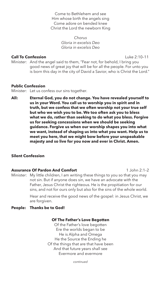Come to Bethlehem and see Him whose birth the angels sing Come adore on bended knee Christ the Lord the newborn King

> *Chorus Gloria in excelsis Deo Gloria in excelsis Deo*

# **Call To Confession** Luke 2:10–11

Minister: And the angel said to them, "Fear not, for behold, I bring you good news of great joy that will be for all the people. For unto you is born this day in the city of David a Savior, who is Christ the Lord."

# **Public Confession**

Minister: Let us confess our sins together.

**All: Eternal God, you do not change. You have revealed yourself to us in your Word. You call us to worship you in spirit and in truth, but we confess that we often worship not your true self but who we wish you to be. We too often ask you to bless what we do, rather than seeking to do what you bless. Forgive us for seeking concessions when we should be seeking guidance. Forgive us when our worship shapes you into what we want, instead of shaping us into what you want. Help us to meet you here, that we might bow before your unspeakable majesty and so live for you now and ever in Christ. Amen.**

# **Silent Confession**

### **Assurance Of Pardon And Comfort** 1 John 2:1-2

Minister: My little children, I am writing these things to you so that you may not sin. But if anyone does sin, we have an advocate with the Father, Jesus Christ the righteous. He is the propitiation for our sins, and not for ours only but also for the sins of the whole world.

> Hear and receive the good news of the gospel: in Jesus Christ, we are forgiven.

### **People: Thanks be to God!**

### **Of The Father's Love Begotten**

Of the Father's love begotten Ere the worlds began to be He is Alpha and Omega He the Source the Ending he Of the things that are that have been And that future years shall see Evermore and evermore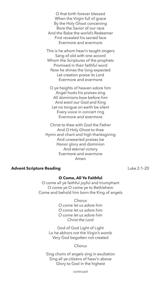O that birth forever blessed When the Virgin full of grace By the Holy Ghost conceiving Bore the Savior of our race And the Babe the world's Redeemer First revealed his sacred face Evermore and evermore

This is he whom heav'n taught singers Sang of old with one accord Whom the Scriptures of the prophets Promised in their faithful word Now he shines the long expected Let creation praise its Lord Evermore and evermore

O ye heights of heaven adore him Angel hosts his praises sing All dominions bow before him And extol our God and King Let no tongue on earth be silent Every voice in concert ring Evermore and evermore

Christ to thee with God the Father And O Holy Ghost to thee Hymn and chant and high thanksgiving And unwearied praises be Honor glory and dominion And eternal victory Evermore and evermore Amen

# **Advent Scripture Reading** Luke 2:1–20

# **O Come, All Ye Faithful**

O come all ye faithful joyful and triumphant O come ye O come ye to Bethlehem Come and behold him born the King of angels

*Chorus*

*O come let us adore him O come let us adore him O come let us adore him Christ the Lord*

God of God Light of Light Lo he abhors not the Virgin's womb Very God begotten not created

*Chorus*

Sing choirs of angels sing in exultation Sing all ye citizens of heav'n above Glory to God in the highest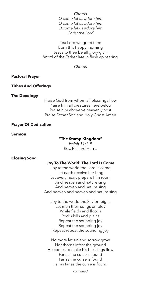*Chorus O come let us adore him O come let us adore him O come let us adore him Christ the Lord*

Yea Lord we greet thee Born this happy morning Jesus to thee be all glory giv'n Word of the Father late in flesh appearing

*Chorus*

#### **Pastoral Prayer**

### **Tithes And Offerings**

#### **The Doxology**

Praise God from whom all blessings flow Praise him all creatures here below Praise him above ye heavenly host Praise Father Son and Holy Ghost Amen

# **Prayer Of Dedication**

**Sermon** 

# **"The Stump Kingdom"**

*Isaiah 11:1–9* Rev. Richard Harris

#### **Closing Song**

#### **Joy To The World! The Lord Is Come**

Joy to the world the Lord is come Let earth receive her King Let every heart prepare him room And heaven and nature sing And heaven and nature sing And heaven and heaven and nature sing

Joy to the world the Savior reigns Let men their songs employ While fields and floods Rocks hills and plains Repeat the sounding joy Repeat the sounding joy Repeat repeat the sounding joy

No more let sin and sorrow grow Nor thorns infest the ground He comes to make his blessings flow Far as the curse is found Far as the curse is found Far as far as the curse is found